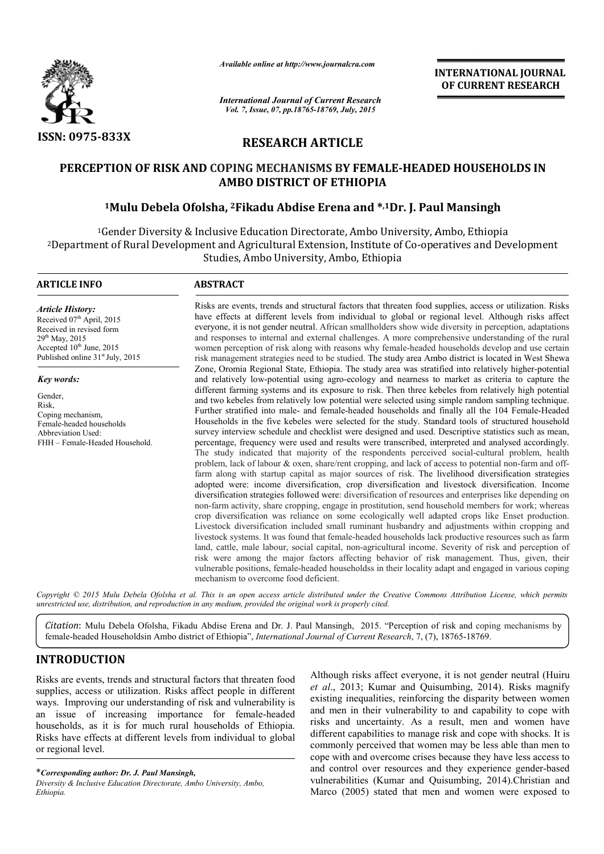

*Available online at http://www.journalcra.com*

*International Journal of Current Research Vol. 7, Issue, 07, pp.18765-18769, July, 2015*

INTERNATIONAL INTERNATIONAL JOURNAL OF CURRENT RESEARCH

# RESEARCH ARTICLE

# PERCEPTION OF RISK AND COPING MECHANISMS BY FEMALE-HEADED HOUSEHOLDS IN AMBO DISTRICT OF ETHIOPIA

# <sup>1</sup>Mulu Debela Ofolsha, <sup>2</sup>Fikadu Abdise Erena and \*,1Dr. J. Paul Mansingh

1Gender Diversity & Inclusive Education Directorate, Ambo University, Ambo, Ethiopia <sup>2</sup>Department of Rural Development and Agricultural Extension, Institute of Co-operatives and Development Studies, Ambo University, Ambo, Ethiopia

1

### ARTICLE INFO ABSTRACT

*Article History:* Received  $07<sup>th</sup>$  April, 2015 Received in revised form 29<sup>th</sup> May, 2015 Accepted 10<sup>th</sup> June, 2015 Published online 31<sup>st</sup> July, 2015

*Key words:*

Gender, Risk, Coping mechanism, Female-headed households Abbreviation Used: FHH – Female-Headed Household.

Risks are events, trends and structural factors that threaten food supplies, access or utilization. Risks have effects at different levels from individual to global or regional level. Although risks affect everyone, it is not gender neutral. African smallholders show wide diversity in perception, adaptations Risks are events, trends and structural factors that threaten food supplies, access or utilization. Risks have effects at different levels from individual to global or regional level. Although risks affect everyone, it is women perception of risk along with reasons why female-headed households develop and use certain risk management strategies need to be studied. The study area Ambo district is located in West Shewa women perception of risk along with reasons why female-headed households develop and use certain<br>risk management strategies need to be studied. The study area Ambo district is located in West Shewa<br>Zone, Oromia Regional St and relatively low low-potential using agro-ecology and nearness to market as criteria to capture the and relatively low-potential using agro-ecology and nearness to market as criteria to capture the different farming systems and its exposure to risk. Then three kebeles from relatively high potential and two kebeles from relatively low potential were selected using simple random sampling technique. Further stratified into male- and female-headed households and finally all the 104 Female-Headed Households in the five kebeles were selected for the study. Standard tools of structured household Households in the five kebeles were selected for the study. Standard tools of structured household survey interview schedule and checklist were designed and used. Descriptive statistics such as mean, percentage, frequency were used and results were transcribed, interpreted and analysed accordingly. The study indicated that majority of the respondents perceived social-cultural problem, health problem, lack of labour & oxen, share/rent cropping, and lack of access to potential non-farm and offfarm along with startup capital as major sources of risk. The livelihood diversification strategies adopted were: income diversification, crop diversification and livestock diversification. Income diversification strategies followed were: diversification of resources and enterprises like depending on non-farm act farm activity, share cropping, engage in prostitution, send household members for work; whereas crop diversification was reliance on some ecologically well adapted crops like Enset production. Livestock diversification included small ruminant husbandry and adjustments within cropping and livestock systems. It was found that female-headed households lack productive resources such as farm land, cattle, male labour, social capital, non-agricultural income. Severity of risk and perception of risk were among the major f factors affecting behavior of risk management. Thus, given, their vulnerable positions, female female-headed householdss in their locality adapt and engaged in various coping mechanism to overcome food deficient. livelihood diversification strategies<br>ere: income diversification, crop diversification and livestock diversification. Income<br>tion strategies followed were: diversification of resources and enterprises like depending on<br>ci headed households lack productive resources such as<br>cial capital, non-agricultural income. Severity of risk and percepti<br>r factors affecting behavior of risk management. Thus, given,<br>headed householdss in their locality ad **INTERNATIONAL JOURNAL OF CURRENT RESEARCH CONTINUM CONTINUM CONTINUM CONTINUM (SCALE TO THE STAND (SCALE TO THE STAND (SCALE TO THE STAND (SCALE TO THE STAND (SCALE TO THE STAND (SCALE) and particular state of the numera** 

Copyright © 2015 Mulu Debela Ofolsha et al. This is an open access article distributed under the Creative Commons Attribution License, which permits *unrestricted use, distribution, and reproduction in any medium, provided the original work is properly cited.*

Citation: Mulu Debela Ofolsha, Fikadu Abdise Erena and Dr. J. Paul Mansingh, 2015. "Perception of risk and coping mechanisms by female-headed Householdsin Ambo district of Ethiopia", *International Journal of Current Research*, 7, (7), 18765-18769.

# INTRODUCTION

Risks are events, trends and structural factors that threaten food supplies, access or utilization. Risks affect people in different ways. Improving our understanding of risk and vulnerability is an issue of increasing importance for female female-headed households, as it is for much rural households of Ethiopia. Risks have effects at different levels from individual to global or regional level.

\**Corresponding author: Dr. J. Paul Mansingh,*

Although risks affect everyone, it is not gender neutral (Huiru Although risks affect everyone, it is not gender neutral (Huiru *et al.*, 2013; Kumar and Quisumbing, 2014). Risks magnify existing inequalities, reinforcing the disparity between women and men in their vulnerability to and capability to cope with risks and uncertainty. As a result, men and women have different capabilities to manage risk and cope with shocks. It is commonly perceived that women may be less able than men to cope with and overcome crises because they have less access to and control over resources and they experience gender vulnerabilities (Kumar and Quisumbing, 2014). Christian and Marco (2005) stated that men and women were exposed to risks and uncertainty. As a result, men and women have different capabilities to manage risk and cope with shocks. It is commonly perceived that women may be less able than men to cope with and overcome crises because they

*Diversity & Inclusive Education Directorate, Ambo Univers University, Ambo, Ethiopia.*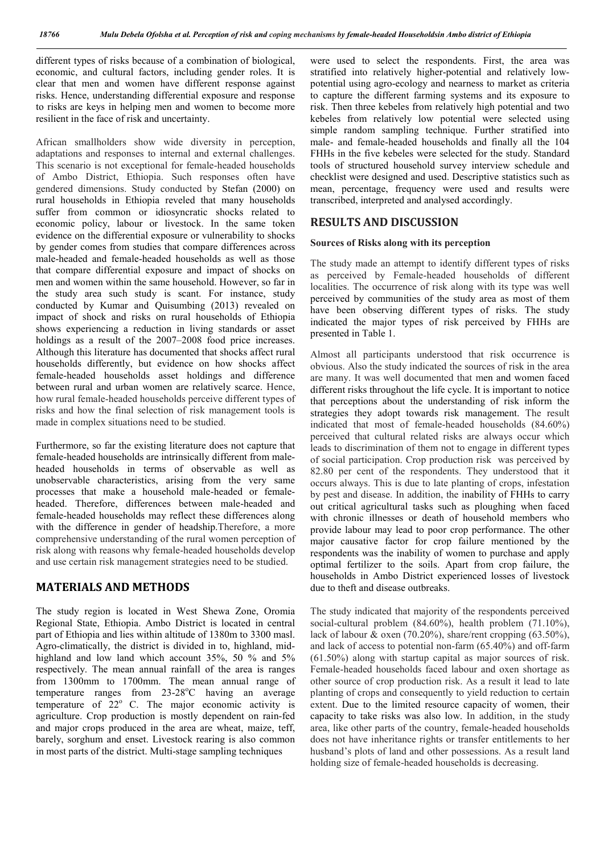different types of risks because of a combination of biological, economic, and cultural factors, including gender roles. It is clear that men and women have different response against risks. Hence, understanding differential exposure and response to risks are keys in helping men and women to become more resilient in the face of risk and uncertainty.

African smallholders show wide diversity in perception, adaptations and responses to internal and external challenges. This scenario is not exceptional for female-headed households of Ambo District, Ethiopia. Such responses often have gendered dimensions. Study conducted by Stefan (2000) on rural households in Ethiopia reveled that many households suffer from common or idiosyncratic shocks related to economic policy, labour or livestock. In the same token evidence on the differential exposure or vulnerability to shocks by gender comes from studies that compare differences across male-headed and female-headed households as well as those that compare differential exposure and impact of shocks on men and women within the same household. However, so far in the study area such study is scant. For instance, study conducted by Kumar and Quisumbing (2013) revealed on impact of shock and risks on rural households of Ethiopia shows experiencing a reduction in living standards or asset holdings as a result of the 2007–2008 food price increases. Although this literature has documented that shocks affect rural households differently, but evidence on how shocks affect female-headed households asset holdings and difference between rural and urban women are relatively scarce. Hence, how rural female-headed households perceive different types of risks and how the final selection of risk management tools is made in complex situations need to be studied.

Furthermore, so far the existing literature does not capture that female-headed households are intrinsically different from maleheaded households in terms of observable as well as unobservable characteristics, arising from the very same processes that make a household male-headed or femaleheaded. Therefore, differences between male-headed and female-headed households may reflect these differences along with the difference in gender of headship.Therefore, a more comprehensive understanding of the rural women perception of risk along with reasons why female-headed households develop and use certain risk management strategies need to be studied.

# MATERIALS AND METHODS

The study region is located in West Shewa Zone, Oromia Regional State, Ethiopia. Ambo District is located in central part of Ethiopia and lies within altitude of 1380m to 3300 masl. Agro-climatically, the district is divided in to, highland, midhighland and low land which account 35%, 50 % and 5% respectively. The mean annual rainfall of the area is ranges from 1300mm to 1700mm. The mean annual range of  $temperature$  ranges from 23-28 $^{\circ}$ C having an average temperature of  $22^{\circ}$  C. The major economic activity is agriculture. Crop production is mostly dependent on rain-fed and major crops produced in the area are wheat, maize, teff, barely, sorghum and enset. Livestock rearing is also common in most parts of the district. Multi-stage sampling techniques

were used to select the respondents. First, the area was stratified into relatively higher-potential and relatively lowpotential using agro-ecology and nearness to market as criteria to capture the different farming systems and its exposure to risk. Then three kebeles from relatively high potential and two kebeles from relatively low potential were selected using simple random sampling technique. Further stratified into male- and female-headed households and finally all the 104 FHHs in the five kebeles were selected for the study. Standard tools of structured household survey interview schedule and checklist were designed and used. Descriptive statistics such as mean, percentage, frequency were used and results were transcribed, interpreted and analysed accordingly.

## RESULTS AND DISCUSSION

#### Sources of Risks along with its perception

The study made an attempt to identify different types of risks as perceived by Female-headed households of different localities. The occurrence of risk along with its type was well perceived by communities of the study area as most of them have been observing different types of risks. The study indicated the major types of risk perceived by FHHs are presented in Table 1.

Almost all participants understood that risk occurrence is obvious. Also the study indicated the sources of risk in the area are many. It was well documented that men and women faced different risks throughout the life cycle. It is important to notice that perceptions about the understanding of risk inform the strategies they adopt towards risk management. The result indicated that most of female-headed households (84.60%) perceived that cultural related risks are always occur which leads to discrimination of them not to engage in different types of social participation. Crop production risk was perceived by 82.80 per cent of the respondents. They understood that it occurs always. This is due to late planting of crops, infestation by pest and disease. In addition, the inability of FHHs to carry out critical agricultural tasks such as ploughing when faced with chronic illnesses or death of household members who provide labour may lead to poor crop performance. The other major causative factor for crop failure mentioned by the respondents was the inability of women to purchase and apply optimal fertilizer to the soils. Apart from crop failure, the households in Ambo District experienced losses of livestock due to theft and disease outbreaks.

The study indicated that majority of the respondents perceived social-cultural problem (84.60%), health problem (71.10%), lack of labour  $\&$  oxen (70.20%), share/rent cropping (63.50%), and lack of access to potential non-farm (65.40%) and off-farm (61.50%) along with startup capital as major sources of risk. Female-headed households faced labour and oxen shortage as other source of crop production risk. As a result it lead to late planting of crops and consequently to yield reduction to certain extent. Due to the limited resource capacity of women, their capacity to take risks was also low. In addition, in the study area, like other parts of the country, female-headed households does not have inheritance rights or transfer entitlements to her husband's plots of land and other possessions. As a result land holding size of female-headed households is decreasing.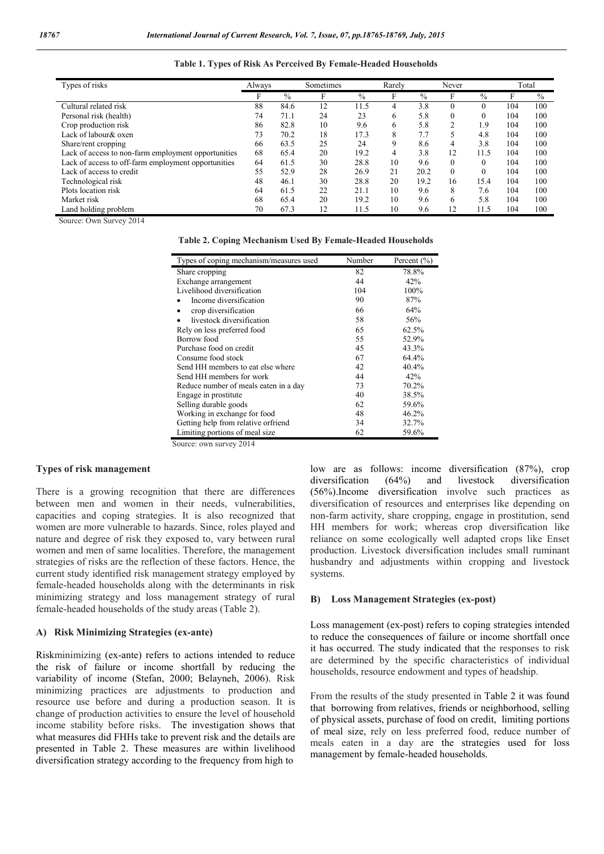| Types of risks                                      | Always |               | Sometimes |      | Rarely |               | Never          |               |     | Total |
|-----------------------------------------------------|--------|---------------|-----------|------|--------|---------------|----------------|---------------|-----|-------|
|                                                     | F      | $\frac{0}{0}$ | F         | $\%$ |        | $\frac{0}{0}$ | F              | $\frac{0}{0}$ | F   | $\%$  |
| Cultural related risk                               | 88     | 84.6          | 12        | 11.5 |        | 3.8           | $\theta$       |               | 104 | 100   |
| Personal risk (health)                              | 74     | 71.1          | 24        | 23   | 6      | 5.8           | $\theta$       | 0             | 104 | 100   |
| Crop production risk                                | 86     | 82.8          | 10        | 9.6  | 6      | 5.8           | $\overline{2}$ | 1.9           | 104 | 100   |
| Lack of labour & oxen                               | 73     | 70.2          | 18        | 17.3 | 8      | 7.7           | 5              | 4.8           | 104 | 100   |
| Share/rent cropping                                 | 66     | 63.5          | 25        | 24   | 9      | 8.6           | 4              | 3.8           | 104 | 100   |
| Lack of access to non-farm employment opportunities | 68     | 65.4          | 20        | 19.2 | 4      | 3.8           | 12             | 11.5          | 104 | 100   |
| Lack of access to off-farm employment opportunities | 64     | 61.5          | 30        | 28.8 | 10     | 9.6           | $\theta$       | $\theta$      | 104 | 100   |
| Lack of access to credit                            | 55     | 52.9          | 28        | 26.9 | 21     | 20.2          | $\theta$       | $\theta$      | 104 | 100   |
| Technological risk                                  | 48     | 46.1          | 30        | 28.8 | 20     | 19.2          | 16             | 15.4          | 104 | 100   |
| Plots location risk                                 | 64     | 61.5          | 22        | 21.1 | 10     | 9.6           | 8              | 7.6           | 104 | 100   |
| Market risk                                         | 68     | 65.4          | 20        | 19.2 | 10     | 9.6           | 6              | 5.8           | 104 | 100   |
| Land holding problem                                | 70     | 67.3          | 12        | 11.5 | 10     | 9.6           | 12             | 11.5          | 104 | 100   |

### Table 1. Types of Risk As Perceived By Female-Headed Households

Source: Own Survey 2014

| Types of coping mechanism/measures used | Number | Percent $(\% )$ |
|-----------------------------------------|--------|-----------------|
| Share cropping                          | 82     | 78.8%           |
| Exchange arrangement                    | 44     | 42%             |
| Livelihood diversification              | 104    | 100%            |
| Income diversification                  | 90     | 87%             |
| crop diversification                    | 66     | 64%             |
| livestock diversification               | 58     | 56%             |
| Rely on less preferred food             | 65     | 62.5%           |
| Borrow food                             | 55     | 52.9%           |
| Purchase food on credit                 | 45     | 43.3%           |
| Consume food stock                      | 67     | 64.4%           |
| Send HH members to eat else where       | 42     | 40.4%           |
| Send HH members for work                | 44     | 42%             |
| Reduce number of meals eaten in a day   | 73     | 70.2%           |
| Engage in prostitute                    | 40     | 38.5%           |
| Selling durable goods                   | 62     | 59.6%           |
| Working in exchange for food            | 48     | 46.2%           |
| Getting help from relative orfriend     | 34     | 32.7%           |
| Limiting portions of meal size          | 62     | 59.6%           |

Source: own survey 2014

#### Types of risk management

There is a growing recognition that there are differences between men and women in their needs, vulnerabilities, capacities and coping strategies. It is also recognized that women are more vulnerable to hazards. Since, roles played and nature and degree of risk they exposed to, vary between rural women and men of same localities. Therefore, the management strategies of risks are the reflection of these factors. Hence, the current study identified risk management strategy employed by female-headed households along with the determinants in risk minimizing strategy and loss management strategy of rural female-headed households of the study areas (Table 2).

### A) Risk Minimizing Strategies (ex-ante)

Riskminimizing (ex-ante) refers to actions intended to reduce the risk of failure or income shortfall by reducing the variability of income (Stefan, 2000; Belayneh, 2006). Risk minimizing practices are adjustments to production and resource use before and during a production season. It is change of production activities to ensure the level of household income stability before risks. The investigation shows that what measures did FHHs take to prevent risk and the details are presented in Table 2. These measures are within livelihood diversification strategy according to the frequency from high to

low are as follows: income diversification (87%), crop diversification (64%) and livestock diversification (56%).Income diversification involve such practices as diversification of resources and enterprises like depending on non-farm activity, share cropping, engage in prostitution, send HH members for work; whereas crop diversification like reliance on some ecologically well adapted crops like Enset production. Livestock diversification includes small ruminant husbandry and adjustments within cropping and livestock systems.

#### B) Loss Management Strategies (ex-post)

Loss management (ex-post) refers to coping strategies intended to reduce the consequences of failure or income shortfall once it has occurred. The study indicated that the responses to risk are determined by the specific characteristics of individual households, resource endowment and types of headship.

From the results of the study presented in Table 2 it was found that borrowing from relatives, friends or neighborhood, selling of physical assets, purchase of food on credit, limiting portions of meal size, rely on less preferred food, reduce number of meals eaten in a day are the strategies used for loss management by female-headed households.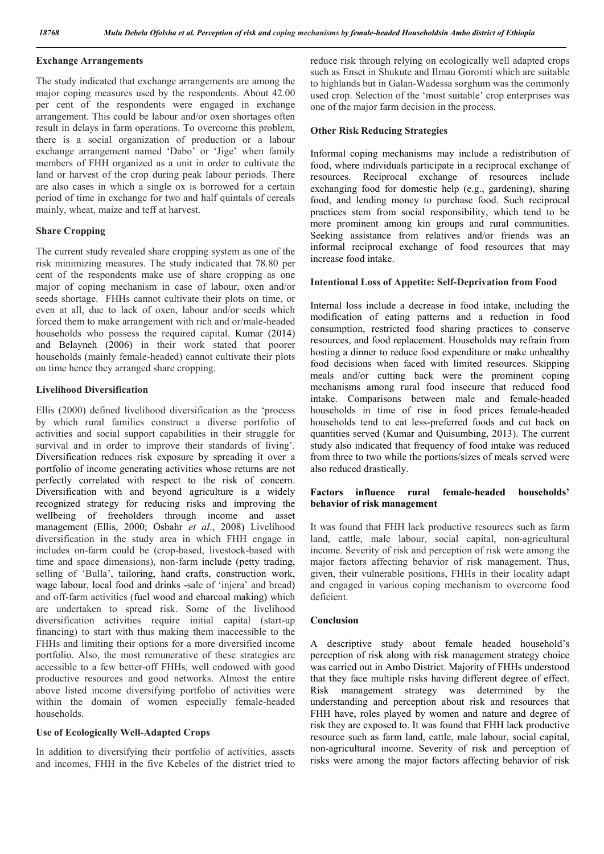### Exchange Arrangements

The study indicated that exchange arrangements are among the major coping measures used by the respondents. About 42.00 per cent of the respondents were engaged in exchange arrangement. This could be labour and/or oxen shortages often result in delays in farm operations. To overcome this problem, there is a social organization of production or a labour exchange arrangement named 'Dabo' or 'Jige' when family members of FHH organized as a unit in order to cultivate the land or harvest of the crop during peak labour periods. There are also cases in which a single ox is borrowed for a certain period of time in exchange for two and half quintals of cereals mainly, wheat, maize and teff at harvest.

## Share Cropping

The current study revealed share cropping system as one of the risk minimizing measures. The study indicated that 78.80 per cent of the respondents make use of share cropping as one major of coping mechanism in case of labour, oxen and/or seeds shortage. FHHs cannot cultivate their plots on time, or even at all, due to lack of oxen, labour and/or seeds which forced them to make arrangement with rich and or/male-headed households who possess the required capital. Kumar (2014) and Belayneh (2006) in their work stated that poorer households (mainly female-headed) cannot cultivate their plots on time hence they arranged share cropping.

## Livelihood Diversification

Ellis (2000) defined livelihood diversification as the 'process by which rural families construct a diverse portfolio of activities and social support capabilities in their struggle for survival and in order to improve their standards of living'. Diversification reduces risk exposure by spreading it over a portfolio of income generating activities whose returns are not perfectly correlated with respect to the risk of concern. Diversification with and beyond agriculture is a widely recognized strategy for reducing risks and improving the wellbeing of freeholders through income and asset management (Ellis, 2000; Osbahr *et al*., 2008) Livelihood diversification in the study area in which FHH engage in includes on-farm could be (crop-based, livestock-based with time and space dimensions), non-farm include (petty trading, selling of 'Bulla', tailoring, hand crafts, construction work, wage labour, local food and drinks -sale of 'injera' and bread) and off-farm activities (fuel wood and charcoal making) which are undertaken to spread risk. Some of the livelihood diversification activities require initial capital (start-up financing) to start with thus making them inaccessible to the FHHs and limiting their options for a more diversified income portfolio. Also, the most remunerative of these strategies are accessible to a few better-off FHHs, well endowed with good productive resources and good networks. Almost the entire above listed income diversifying portfolio of activities were within the domain of women especially female-headed households.

## Use of Ecologically Well-Adapted Crops

In addition to diversifying their portfolio of activities, assets and incomes, FHH in the five Kebeles of the district tried to reduce risk through relying on ecologically well adapted crops such as Enset in Shukute and Ilmau Goromti which are suitable to highlands but in Galan-Wadessa sorghum was the commonly used crop. Selection of the 'most suitable' crop enterprises was one of the major farm decision in the process.

### Other Risk Reducing Strategies

Informal coping mechanisms may include a redistribution of food, where individuals participate in a reciprocal exchange of resources. Reciprocal exchange of resources include exchanging food for domestic help (e.g., gardening), sharing food, and lending money to purchase food. Such reciprocal practices stem from social responsibility, which tend to be more prominent among kin groups and rural communities. Seeking assistance from relatives and/or friends was an informal reciprocal exchange of food resources that may increase food intake.

## Intentional Loss of Appetite: Self-Deprivation from Food

Internal loss include a decrease in food intake, including the modification of eating patterns and a reduction in food consumption, restricted food sharing practices to conserve resources, and food replacement. Households may refrain from hosting a dinner to reduce food expenditure or make unhealthy food decisions when faced with limited resources. Skipping meals and/or cutting back were the prominent coping mechanisms among rural food insecure that reduced food intake. Comparisons between male and female-headed households in time of rise in food prices female-headed households tend to eat less-preferred foods and cut back on quantities served (Kumar and Quisumbing, 2013). The current study also indicated that frequency of food intake was reduced from three to two while the portions/sizes of meals served were also reduced drastically.

# Factors influence rural female-headed households' behavior of risk management

It was found that FHH lack productive resources such as farm land, cattle, male labour, social capital, non-agricultural income. Severity of risk and perception of risk were among the major factors affecting behavior of risk management. Thus, given, their vulnerable positions, FHHs in their locality adapt and engaged in various coping mechanism to overcome food deficient.

## Conclusion

A descriptive study about female headed household's perception of risk along with risk management strategy choice was carried out in Ambo District. Majority of FHHs understood that they face multiple risks having different degree of effect. Risk management strategy was determined by the understanding and perception about risk and resources that FHH have, roles played by women and nature and degree of risk they are exposed to. It was found that FHH lack productive resource such as farm land, cattle, male labour, social capital, non-agricultural income. Severity of risk and perception of risks were among the major factors affecting behavior of risk